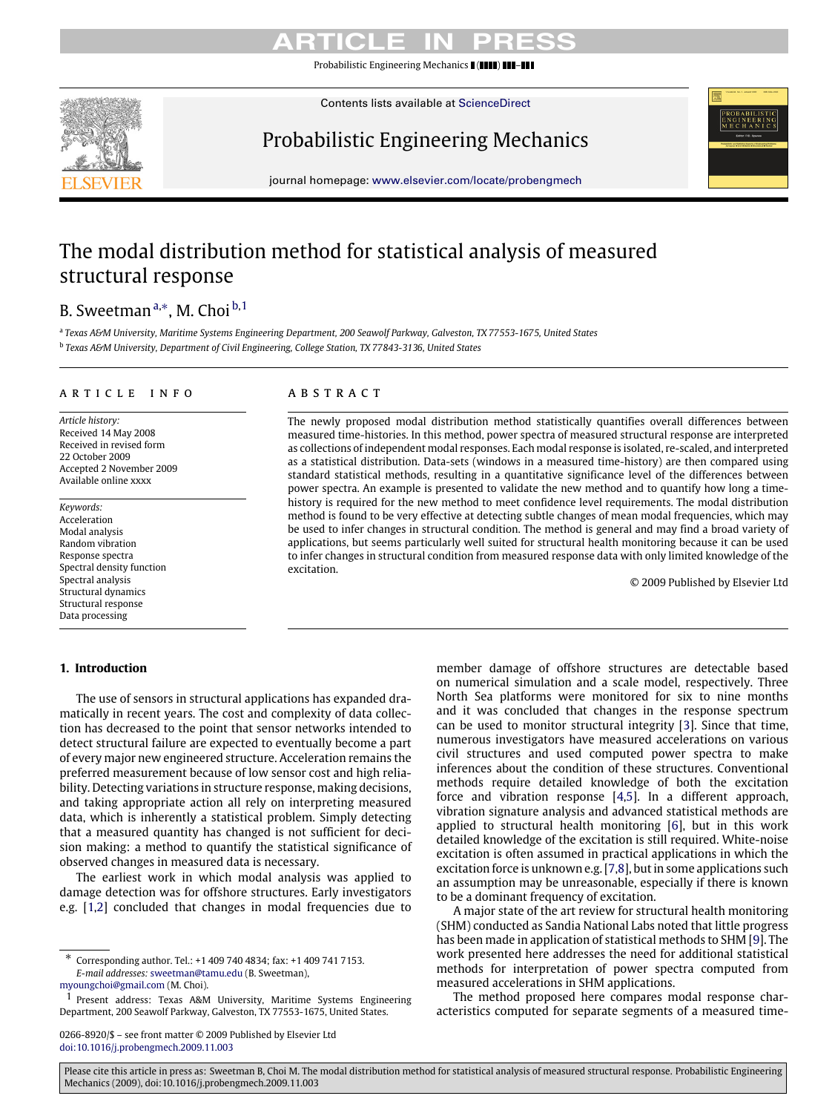Probabilistic Engineering Mechanics  $\blacksquare$  ( $\blacksquare$ 

Contents lists available at [ScienceDirect](http://www.elsevier.com/locate/probengmech)



# Probabilistic Engineering Mechanics

journal homepage: [www.elsevier.com/locate/probengmech](http://www.elsevier.com/locate/probengmech)

# The modal distribution method for statistical analysis of measured structural response

# B. Sweetman ª,\*, M. Choi <sup>[b,](#page-0-2)[1](#page-0-3)</sup>

<span id="page-0-2"></span><span id="page-0-0"></span>a *Texas A&M University, Maritime Systems Engineering Department, 200 Seawolf Parkway, Galveston, TX 77553-1675, United States* b *Texas A&M University, Department of Civil Engineering, College Station, TX 77843-3136, United States*

#### a r t i c l e i n f o

*Article history:* Received 14 May 2008 Received in revised form 22 October 2009 Accepted 2 November 2009 Available online xxxx

*Keywords:* Acceleration Modal analysis Random vibration Response spectra Spectral density function Spectral analysis Structural dynamics Structural response Data processing

### **1. Introduction**

### a b s t r a c t

The newly proposed modal distribution method statistically quantifies overall differences between measured time-histories. In this method, power spectra of measured structural response are interpreted as collections of independent modal responses. Each modal response is isolated, re-scaled, and interpreted as a statistical distribution. Data-sets (windows in a measured time-history) are then compared using standard statistical methods, resulting in a quantitative significance level of the differences between power spectra. An example is presented to validate the new method and to quantify how long a timehistory is required for the new method to meet confidence level requirements. The modal distribution method is found to be very effective at detecting subtle changes of mean modal frequencies, which may be used to infer changes in structural condition. The method is general and may find a broad variety of applications, but seems particularly well suited for structural health monitoring because it can be used to infer changes in structural condition from measured response data with only limited knowledge of the excitation.

© 2009 Published by Elsevier Ltd

The use of sensors in structural applications has expanded dramatically in recent years. The cost and complexity of data collection has decreased to the point that sensor networks intended to detect structural failure are expected to eventually become a part of every major new engineered structure. Acceleration remains the preferred measurement because of low sensor cost and high reliability. Detecting variations in structure response, making decisions, and taking appropriate action all rely on interpreting measured data, which is inherently a statistical problem. Simply detecting that a measured quantity has changed is not sufficient for decision making: a method to quantify the statistical significance of observed changes in measured data is necessary.

The earliest work in which modal analysis was applied to damage detection was for offshore structures. Early investigators e.g. [\[1](#page-9-0)[,2\]](#page-9-1) concluded that changes in modal frequencies due to

0266-8920/\$ – see front matter © 2009 Published by Elsevier Ltd [doi:10.1016/j.probengmech.2009.11.003](http://dx.doi.org/10.1016/j.probengmech.2009.11.003)

member damage of offshore structures are detectable based on numerical simulation and a scale model, respectively. Three North Sea platforms were monitored for six to nine months and it was concluded that changes in the response spectrum can be used to monitor structural integrity [\[3\]](#page-9-2). Since that time, numerous investigators have measured accelerations on various civil structures and used computed power spectra to make inferences about the condition of these structures. Conventional methods require detailed knowledge of both the excitation force and vibration response [\[4,](#page-9-3)[5\]](#page-9-4). In a different approach, vibration signature analysis and advanced statistical methods are applied to structural health monitoring [\[6\]](#page-9-5), but in this work detailed knowledge of the excitation is still required. White-noise excitation is often assumed in practical applications in which the excitation force is unknown e.g. [\[7,](#page-9-6)[8\]](#page-9-7), but in some applications such an assumption may be unreasonable, especially if there is known to be a dominant frequency of excitation.

A major state of the art review for structural health monitoring (SHM) conducted as Sandia National Labs noted that little progress has been made in application of statistical methods to SHM [\[9\]](#page-9-8). The work presented here addresses the need for additional statistical methods for interpretation of power spectra computed from measured accelerations in SHM applications.

The method proposed here compares modal response characteristics computed for separate segments of a measured time-

<span id="page-0-1"></span><sup>∗</sup> Corresponding author. Tel.: +1 409 740 4834; fax: +1 409 741 7153. *E-mail addresses:* [sweetman@tamu.edu](mailto:sweetman@tamu.edu) (B. Sweetman),

[myoungchoi@gmail.com](mailto:myoungchoi@gmail.com) (M. Choi).

<span id="page-0-3"></span><sup>1</sup> Present address: Texas A&M University, Maritime Systems Engineering Department, 200 Seawolf Parkway, Galveston, TX 77553-1675, United States.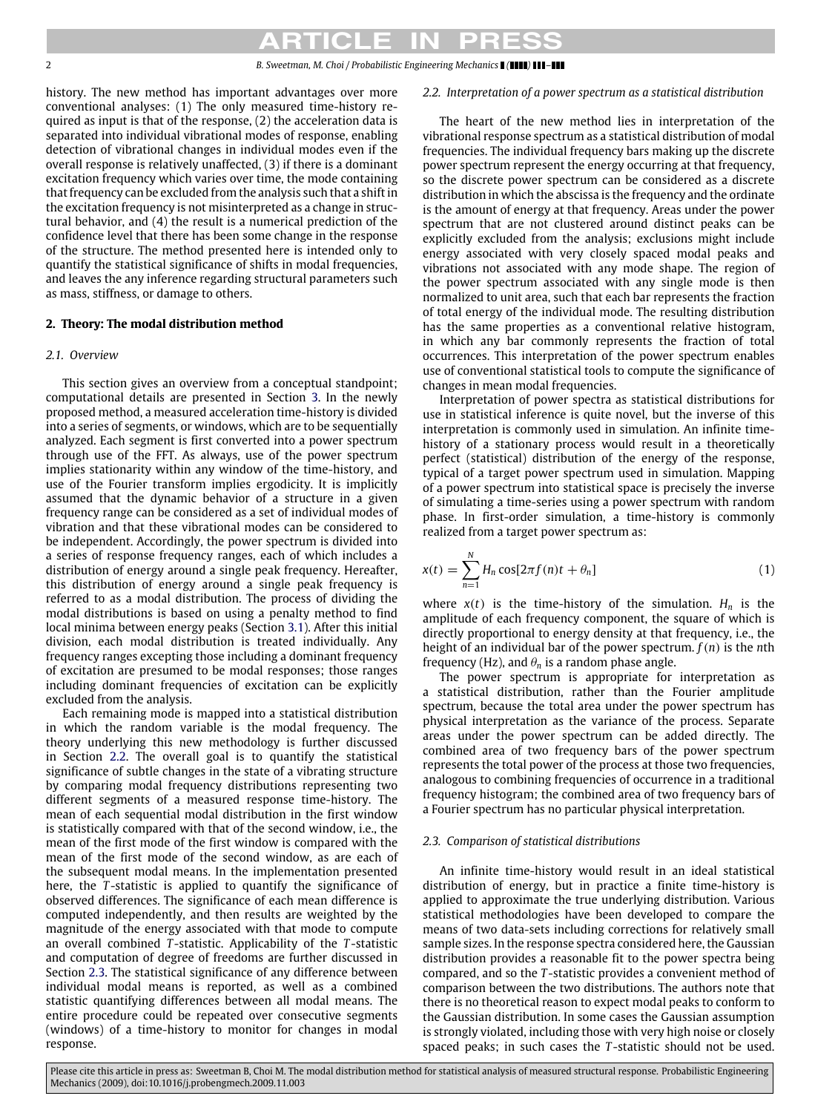### 2 *B. Sweetman, M. Choi / Probabilistic Engineering Mechanics ( ) –*

history. The new method has important advantages over more conventional analyses: (1) The only measured time-history required as input is that of the response, (2) the acceleration data is separated into individual vibrational modes of response, enabling detection of vibrational changes in individual modes even if the overall response is relatively unaffected, (3) if there is a dominant excitation frequency which varies over time, the mode containing that frequency can be excluded from the analysis such that a shift in the excitation frequency is not misinterpreted as a change in structural behavior, and (4) the result is a numerical prediction of the confidence level that there has been some change in the response of the structure. The method presented here is intended only to quantify the statistical significance of shifts in modal frequencies, and leaves the any inference regarding structural parameters such as mass, stiffness, or damage to others.

# **2. Theory: The modal distribution method**

# *2.1. Overview*

This section gives an overview from a conceptual standpoint; computational details are presented in Section [3.](#page-2-0) In the newly proposed method, a measured acceleration time-history is divided into a series of segments, or windows, which are to be sequentially analyzed. Each segment is first converted into a power spectrum through use of the FFT. As always, use of the power spectrum implies stationarity within any window of the time-history, and use of the Fourier transform implies ergodicity. It is implicitly assumed that the dynamic behavior of a structure in a given frequency range can be considered as a set of individual modes of vibration and that these vibrational modes can be considered to be independent. Accordingly, the power spectrum is divided into a series of response frequency ranges, each of which includes a distribution of energy around a single peak frequency. Hereafter, this distribution of energy around a single peak frequency is referred to as a modal distribution. The process of dividing the modal distributions is based on using a penalty method to find local minima between energy peaks (Section [3.1\)](#page-2-1). After this initial division, each modal distribution is treated individually. Any frequency ranges excepting those including a dominant frequency of excitation are presumed to be modal responses; those ranges including dominant frequencies of excitation can be explicitly excluded from the analysis.

Each remaining mode is mapped into a statistical distribution in which the random variable is the modal frequency. The theory underlying this new methodology is further discussed in Section [2.2.](#page-1-0) The overall goal is to quantify the statistical significance of subtle changes in the state of a vibrating structure by comparing modal frequency distributions representing two different segments of a measured response time-history. The mean of each sequential modal distribution in the first window is statistically compared with that of the second window, i.e., the mean of the first mode of the first window is compared with the mean of the first mode of the second window, as are each of the subsequent modal means. In the implementation presented here, the *T* -statistic is applied to quantify the significance of observed differences. The significance of each mean difference is computed independently, and then results are weighted by the magnitude of the energy associated with that mode to compute an overall combined *T* -statistic. Applicability of the *T* -statistic and computation of degree of freedoms are further discussed in Section [2.3.](#page-1-1) The statistical significance of any difference between individual modal means is reported, as well as a combined statistic quantifying differences between all modal means. The entire procedure could be repeated over consecutive segments (windows) of a time-history to monitor for changes in modal response.

# <span id="page-1-0"></span>*2.2. Interpretation of a power spectrum as a statistical distribution*

The heart of the new method lies in interpretation of the vibrational response spectrum as a statistical distribution of modal frequencies. The individual frequency bars making up the discrete power spectrum represent the energy occurring at that frequency, so the discrete power spectrum can be considered as a discrete distribution in which the abscissa is the frequency and the ordinate is the amount of energy at that frequency. Areas under the power spectrum that are not clustered around distinct peaks can be explicitly excluded from the analysis; exclusions might include energy associated with very closely spaced modal peaks and vibrations not associated with any mode shape. The region of the power spectrum associated with any single mode is then normalized to unit area, such that each bar represents the fraction of total energy of the individual mode. The resulting distribution has the same properties as a conventional relative histogram, in which any bar commonly represents the fraction of total occurrences. This interpretation of the power spectrum enables use of conventional statistical tools to compute the significance of changes in mean modal frequencies.

Interpretation of power spectra as statistical distributions for use in statistical inference is quite novel, but the inverse of this interpretation is commonly used in simulation. An infinite timehistory of a stationary process would result in a theoretically perfect (statistical) distribution of the energy of the response, typical of a target power spectrum used in simulation. Mapping of a power spectrum into statistical space is precisely the inverse of simulating a time-series using a power spectrum with random phase. In first-order simulation, a time-history is commonly realized from a target power spectrum as:

<span id="page-1-2"></span>
$$
x(t) = \sum_{n=1}^{N} H_n \cos[2\pi f(n)t + \theta_n]
$$
\n(1)

where  $x(t)$  is the time-history of the simulation.  $H_n$  is the amplitude of each frequency component, the square of which is directly proportional to energy density at that frequency, i.e., the height of an individual bar of the power spectrum. *f*(*n*) is the *n*th frequency (Hz), and  $\theta_n$  is a random phase angle.

The power spectrum is appropriate for interpretation as a statistical distribution, rather than the Fourier amplitude spectrum, because the total area under the power spectrum has physical interpretation as the variance of the process. Separate areas under the power spectrum can be added directly. The combined area of two frequency bars of the power spectrum represents the total power of the process at those two frequencies, analogous to combining frequencies of occurrence in a traditional frequency histogram; the combined area of two frequency bars of a Fourier spectrum has no particular physical interpretation.

# <span id="page-1-1"></span>*2.3. Comparison of statistical distributions*

An infinite time-history would result in an ideal statistical distribution of energy, but in practice a finite time-history is applied to approximate the true underlying distribution. Various statistical methodologies have been developed to compare the means of two data-sets including corrections for relatively small sample sizes. In the response spectra considered here, the Gaussian distribution provides a reasonable fit to the power spectra being compared, and so the *T* -statistic provides a convenient method of comparison between the two distributions. The authors note that there is no theoretical reason to expect modal peaks to conform to the Gaussian distribution. In some cases the Gaussian assumption is strongly violated, including those with very high noise or closely spaced peaks; in such cases the *T* -statistic should not be used.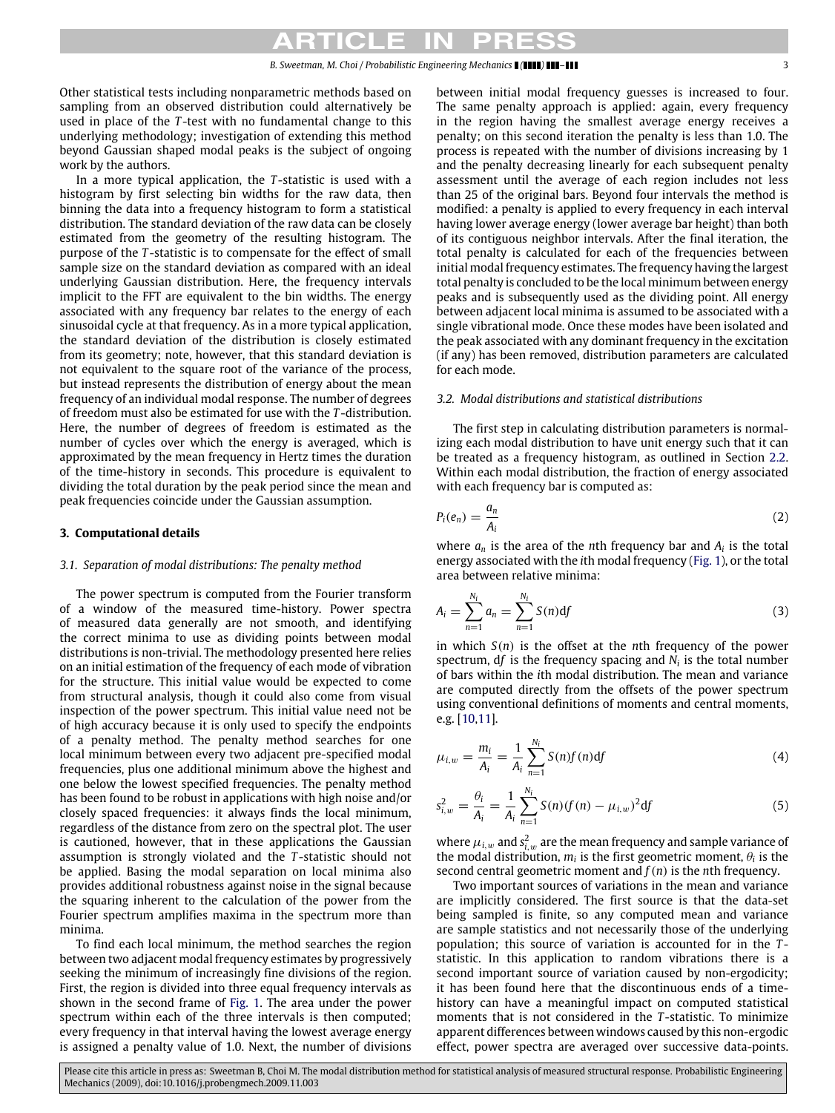Other statistical tests including nonparametric methods based on sampling from an observed distribution could alternatively be used in place of the *T* -test with no fundamental change to this underlying methodology; investigation of extending this method beyond Gaussian shaped modal peaks is the subject of ongoing work by the authors.

In a more typical application, the *T* -statistic is used with a histogram by first selecting bin widths for the raw data, then binning the data into a frequency histogram to form a statistical distribution. The standard deviation of the raw data can be closely estimated from the geometry of the resulting histogram. The purpose of the *T* -statistic is to compensate for the effect of small sample size on the standard deviation as compared with an ideal underlying Gaussian distribution. Here, the frequency intervals implicit to the FFT are equivalent to the bin widths. The energy associated with any frequency bar relates to the energy of each sinusoidal cycle at that frequency. As in a more typical application, the standard deviation of the distribution is closely estimated from its geometry; note, however, that this standard deviation is not equivalent to the square root of the variance of the process, but instead represents the distribution of energy about the mean frequency of an individual modal response. The number of degrees of freedom must also be estimated for use with the *T* -distribution. Here, the number of degrees of freedom is estimated as the number of cycles over which the energy is averaged, which is approximated by the mean frequency in Hertz times the duration of the time-history in seconds. This procedure is equivalent to dividing the total duration by the peak period since the mean and peak frequencies coincide under the Gaussian assumption.

#### <span id="page-2-0"></span>**3. Computational details**

#### <span id="page-2-1"></span>*3.1. Separation of modal distributions: The penalty method*

The power spectrum is computed from the Fourier transform of a window of the measured time-history. Power spectra of measured data generally are not smooth, and identifying the correct minima to use as dividing points between modal distributions is non-trivial. The methodology presented here relies on an initial estimation of the frequency of each mode of vibration for the structure. This initial value would be expected to come from structural analysis, though it could also come from visual inspection of the power spectrum. This initial value need not be of high accuracy because it is only used to specify the endpoints of a penalty method. The penalty method searches for one local minimum between every two adjacent pre-specified modal frequencies, plus one additional minimum above the highest and one below the lowest specified frequencies. The penalty method has been found to be robust in applications with high noise and/or closely spaced frequencies: it always finds the local minimum, regardless of the distance from zero on the spectral plot. The user is cautioned, however, that in these applications the Gaussian assumption is strongly violated and the *T* -statistic should not be applied. Basing the modal separation on local minima also provides additional robustness against noise in the signal because the squaring inherent to the calculation of the power from the Fourier spectrum amplifies maxima in the spectrum more than minima.

To find each local minimum, the method searches the region between two adjacent modal frequency estimates by progressively seeking the minimum of increasingly fine divisions of the region. First, the region is divided into three equal frequency intervals as shown in the second frame of [Fig. 1.](#page-3-0) The area under the power spectrum within each of the three intervals is then computed; every frequency in that interval having the lowest average energy is assigned a penalty value of 1.0. Next, the number of divisions between initial modal frequency guesses is increased to four. The same penalty approach is applied: again, every frequency in the region having the smallest average energy receives a penalty; on this second iteration the penalty is less than 1.0. The process is repeated with the number of divisions increasing by 1 and the penalty decreasing linearly for each subsequent penalty assessment until the average of each region includes not less than 25 of the original bars. Beyond four intervals the method is modified: a penalty is applied to every frequency in each interval having lower average energy (lower average bar height) than both of its contiguous neighbor intervals. After the final iteration, the total penalty is calculated for each of the frequencies between initial modal frequency estimates. The frequency having the largest total penalty is concluded to be the local minimum between energy peaks and is subsequently used as the dividing point. All energy between adjacent local minima is assumed to be associated with a single vibrational mode. Once these modes have been isolated and the peak associated with any dominant frequency in the excitation (if any) has been removed, distribution parameters are calculated for each mode.

#### *3.2. Modal distributions and statistical distributions*

The first step in calculating distribution parameters is normalizing each modal distribution to have unit energy such that it can be treated as a frequency histogram, as outlined in Section [2.2.](#page-1-0) Within each modal distribution, the fraction of energy associated with each frequency bar is computed as:

$$
P_i(e_n) = \frac{a_n}{A_i} \tag{2}
$$

where  $a_n$  is the area of the *n*th frequency bar and  $A_i$  is the total energy associated with the *i*th modal frequency [\(Fig. 1\)](#page-3-0), or the total area between relative minima:

$$
A_i = \sum_{n=1}^{N_i} a_n = \sum_{n=1}^{N_i} S(n) df
$$
 (3)

in which *S*(*n*) is the offset at the *n*th frequency of the power spectrum,  $df$  is the frequency spacing and  $N_i$  is the total number of bars within the *i*th modal distribution. The mean and variance are computed directly from the offsets of the power spectrum using conventional definitions of moments and central moments, e.g. [\[10,](#page-9-9)[11\]](#page-9-10).

$$
\mu_{i,w} = \frac{m_i}{A_i} = \frac{1}{A_i} \sum_{n=1}^{N_i} S(n) f(n) df
$$
\n(4)

$$
s_{i,w}^2 = \frac{\theta_i}{A_i} = \frac{1}{A_i} \sum_{n=1}^{N_i} S(n) (f(n) - \mu_{i,w})^2 df
$$
 (5)

where  $\mu_{i,w}$  and  $s_{i,w}^2$  are the mean frequency and sample variance of the modal distribution,  $m_i$  is the first geometric moment,  $\theta_i$  is the second central geometric moment and *f*(*n*) is the *n*th frequency.

Two important sources of variations in the mean and variance are implicitly considered. The first source is that the data-set being sampled is finite, so any computed mean and variance are sample statistics and not necessarily those of the underlying population; this source of variation is accounted for in the *T* statistic. In this application to random vibrations there is a second important source of variation caused by non-ergodicity; it has been found here that the discontinuous ends of a timehistory can have a meaningful impact on computed statistical moments that is not considered in the *T* -statistic. To minimize apparent differences between windows caused by this non-ergodic effect, power spectra are averaged over successive data-points.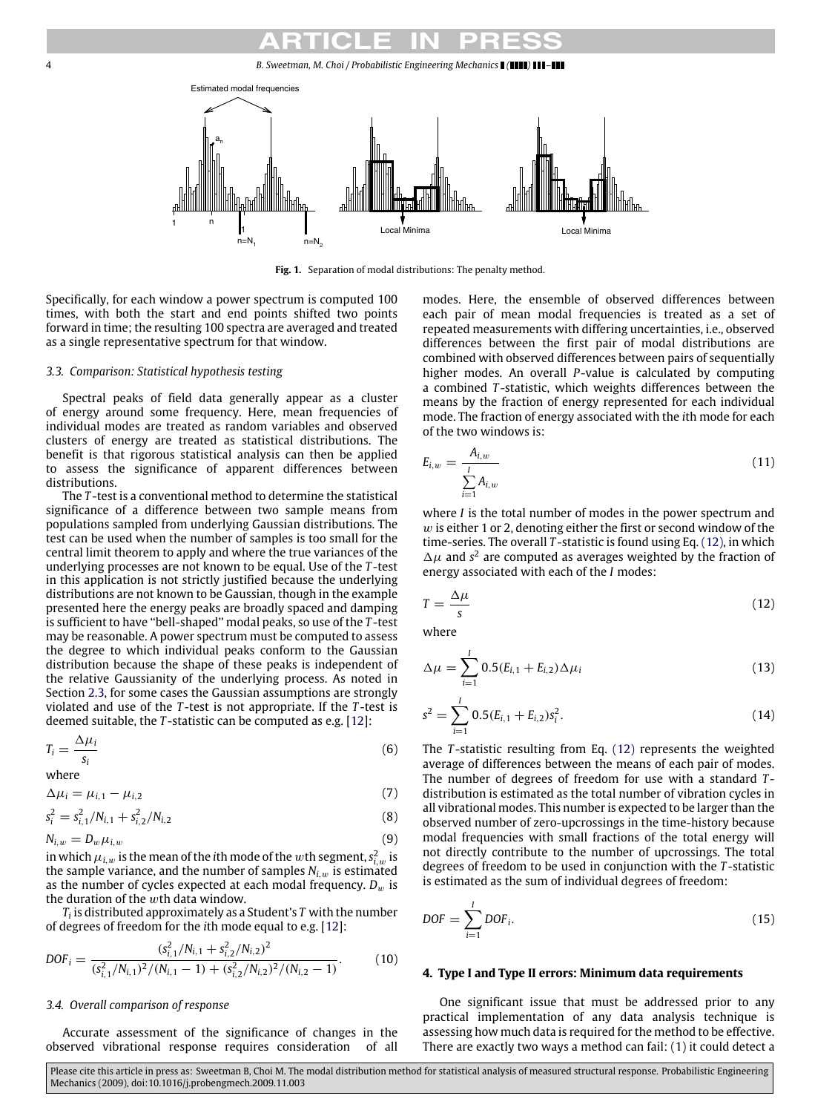<span id="page-3-0"></span>4 *B. Sweetman, M. Choi / Probabilistic Engineering Mechanics ( ) –*



**Fig. 1.** Separation of modal distributions: The penalty method.

Specifically, for each window a power spectrum is computed 100 times, with both the start and end points shifted two points forward in time; the resulting 100 spectra are averaged and treated as a single representative spectrum for that window.

# *3.3. Comparison: Statistical hypothesis testing*

Spectral peaks of field data generally appear as a cluster of energy around some frequency. Here, mean frequencies of individual modes are treated as random variables and observed clusters of energy are treated as statistical distributions. The benefit is that rigorous statistical analysis can then be applied to assess the significance of apparent differences between distributions.

The *T* -test is a conventional method to determine the statistical significance of a difference between two sample means from populations sampled from underlying Gaussian distributions. The test can be used when the number of samples is too small for the central limit theorem to apply and where the true variances of the underlying processes are not known to be equal. Use of the *T* -test in this application is not strictly justified because the underlying distributions are not known to be Gaussian, though in the example presented here the energy peaks are broadly spaced and damping is sufficient to have ''bell-shaped'' modal peaks, so use of the *T* -test may be reasonable. A power spectrum must be computed to assess the degree to which individual peaks conform to the Gaussian distribution because the shape of these peaks is independent of the relative Gaussianity of the underlying process. As noted in Section [2.3,](#page-1-1) for some cases the Gaussian assumptions are strongly violated and use of the *T* -test is not appropriate. If the *T* -test is deemed suitable, the *T* -statistic can be computed as e.g. [\[12\]](#page-9-11):

$$
T_i = \frac{\Delta \mu_i}{s_i} \tag{6}
$$

where

$$
\Delta \mu_i = \mu_{i,1} - \mu_{i,2} \tag{7}
$$

$$
s_i^2 = s_{i,1}^2/N_{i,1} + s_{i,2}^2/N_{i,2}
$$
\n(8)

$$
N_{i,w} = D_w \mu_{i,w} \tag{9}
$$

in which  $\mu_{i,w}$  is the mean of the *i*th mode of the  $w$ th segment,  $s^2_{i,w}$  is the sample variance, and the number of samples  $N_i$ <sub>w</sub> is estimated as the number of cycles expected at each modal frequency.  $D_w$  is the duration of the  $w$ th data window.

*Ti* is distributed approximately as a Student's *T* with the number of degrees of freedom for the *i*th mode equal to e.g. [\[12\]](#page-9-11):

$$
DOF_i = \frac{(s_{i,1}^2/N_{i,1} + s_{i,2}^2/N_{i,2})^2}{(s_{i,1}^2/N_{i,1})^2/(N_{i,1} - 1) + (s_{i,2}^2/N_{i,2})^2/(N_{i,2} - 1)}.
$$
(10)

### *3.4. Overall comparison of response*

Accurate assessment of the significance of changes in the observed vibrational response requires consideration of all modes. Here, the ensemble of observed differences between each pair of mean modal frequencies is treated as a set of repeated measurements with differing uncertainties, i.e., observed differences between the first pair of modal distributions are combined with observed differences between pairs of sequentially higher modes. An overall *P*-value is calculated by computing a combined *T* -statistic, which weights differences between the means by the fraction of energy represented for each individual mode. The fraction of energy associated with the *i*th mode for each of the two windows is:

$$
E_{i,w} = \frac{A_{i,w}}{\sum_{i=1}^{I} A_{i,w}}
$$
 (11)

where *I* is the total number of modes in the power spectrum and  $w$  is either 1 or 2, denoting either the first or second window of the time-series. The overall *T* -statistic is found using Eq. [\(12\),](#page-3-1) in which  $\Delta \mu$  and s<sup>2</sup> are computed as averages weighted by the fraction of energy associated with each of the *I* modes:

<span id="page-3-1"></span>
$$
T = \frac{\Delta \mu}{s} \tag{12}
$$

where

$$
\Delta \mu = \sum_{i=1}^{I} 0.5(E_{i,1} + E_{i,2}) \Delta \mu_i
$$
\n(13)

$$
s^{2} = \sum_{i=1}^{I} 0.5(E_{i,1} + E_{i,2})s_{i}^{2}.
$$
 (14)

The *T* -statistic resulting from Eq. [\(12\)](#page-3-1) represents the weighted average of differences between the means of each pair of modes. The number of degrees of freedom for use with a standard *T* distribution is estimated as the total number of vibration cycles in all vibrational modes. This number is expected to be larger than the observed number of zero-upcrossings in the time-history because modal frequencies with small fractions of the total energy will not directly contribute to the number of upcrossings. The total degrees of freedom to be used in conjunction with the *T* -statistic is estimated as the sum of individual degrees of freedom:

$$
DOF = \sum_{i=1}^{I} DOF_i.
$$
\n(15)

#### **4. Type I and Type II errors: Minimum data requirements**

One significant issue that must be addressed prior to any practical implementation of any data analysis technique is assessing how much data is required for the method to be effective. There are exactly two ways a method can fail: (1) it could detect a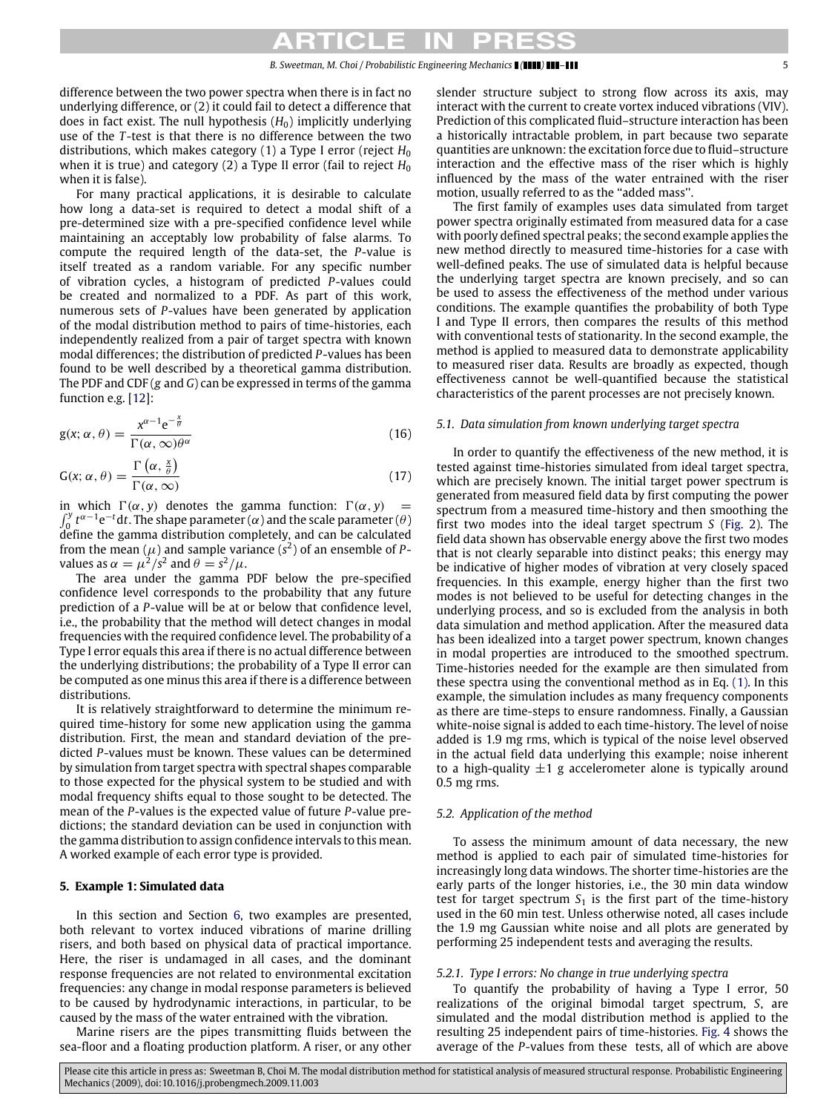difference between the two power spectra when there is in fact no underlying difference, or (2) it could fail to detect a difference that does in fact exist. The null hypothesis  $(H_0)$  implicitly underlying use of the *T* -test is that there is no difference between the two distributions, which makes category (1) a Type I error (reject *H*<sup>0</sup> when it is true) and category (2) a Type II error (fail to reject  $H_0$ when it is false).

For many practical applications, it is desirable to calculate how long a data-set is required to detect a modal shift of a pre-determined size with a pre-specified confidence level while maintaining an acceptably low probability of false alarms. To compute the required length of the data-set, the *P*-value is itself treated as a random variable. For any specific number of vibration cycles, a histogram of predicted *P*-values could be created and normalized to a PDF. As part of this work, numerous sets of *P*-values have been generated by application of the modal distribution method to pairs of time-histories, each independently realized from a pair of target spectra with known modal differences; the distribution of predicted *P*-values has been found to be well described by a theoretical gamma distribution. The PDF and CDF (*g* and *G*) can be expressed in terms of the gamma function e.g. [\[12\]](#page-9-11):

$$
g(x; \alpha, \theta) = \frac{x^{\alpha - 1} e^{-\frac{x}{\theta}}}{\Gamma(\alpha, \infty) \theta^{\alpha}}
$$
(16)

$$
G(x; \alpha, \theta) = \frac{\Gamma\left(\alpha, \frac{x}{\theta}\right)}{\Gamma(\alpha, \infty)}
$$
\n(17)

in which  $\Gamma(\alpha, y)$  denotes the gamma function:  $\Gamma(\alpha, y) =$  $\int_0^y t^{\alpha-1} e^{-t} dt$ . The shape parameter ( $\alpha$ ) and the scale parameter ( $\theta$ ) define the gamma distribution completely, and can be calculated from the mean ( $\mu$ ) and sample variance ( $s^2$ ) of an ensemble of Pvalues as  $\alpha = \mu^2/s^2$  and  $\theta = s^2/\mu$ .

The area under the gamma PDF below the pre-specified confidence level corresponds to the probability that any future prediction of a *P*-value will be at or below that confidence level, i.e., the probability that the method will detect changes in modal frequencies with the required confidence level. The probability of a Type I error equals this area if there is no actual difference between the underlying distributions; the probability of a Type II error can be computed as one minus this area if there is a difference between distributions.

It is relatively straightforward to determine the minimum required time-history for some new application using the gamma distribution. First, the mean and standard deviation of the predicted *P*-values must be known. These values can be determined by simulation from target spectra with spectral shapes comparable to those expected for the physical system to be studied and with modal frequency shifts equal to those sought to be detected. The mean of the *P*-values is the expected value of future *P*-value predictions; the standard deviation can be used in conjunction with the gamma distribution to assign confidence intervals to this mean. A worked example of each error type is provided.

#### **5. Example 1: Simulated data**

In this section and Section [6,](#page-7-0) two examples are presented, both relevant to vortex induced vibrations of marine drilling risers, and both based on physical data of practical importance. Here, the riser is undamaged in all cases, and the dominant response frequencies are not related to environmental excitation frequencies: any change in modal response parameters is believed to be caused by hydrodynamic interactions, in particular, to be caused by the mass of the water entrained with the vibration.

Marine risers are the pipes transmitting fluids between the sea-floor and a floating production platform. A riser, or any other slender structure subject to strong flow across its axis, may interact with the current to create vortex induced vibrations (VIV). Prediction of this complicated fluid–structure interaction has been a historically intractable problem, in part because two separate quantities are unknown: the excitation force due to fluid–structure interaction and the effective mass of the riser which is highly influenced by the mass of the water entrained with the riser motion, usually referred to as the ''added mass''.

The first family of examples uses data simulated from target power spectra originally estimated from measured data for a case with poorly defined spectral peaks; the second example applies the new method directly to measured time-histories for a case with well-defined peaks. The use of simulated data is helpful because the underlying target spectra are known precisely, and so can be used to assess the effectiveness of the method under various conditions. The example quantifies the probability of both Type I and Type II errors, then compares the results of this method with conventional tests of stationarity. In the second example, the method is applied to measured data to demonstrate applicability to measured riser data. Results are broadly as expected, though effectiveness cannot be well-quantified because the statistical characteristics of the parent processes are not precisely known.

#### *5.1. Data simulation from known underlying target spectra*

<span id="page-4-0"></span>In order to quantify the effectiveness of the new method, it is tested against time-histories simulated from ideal target spectra, which are precisely known. The initial target power spectrum is generated from measured field data by first computing the power spectrum from a measured time-history and then smoothing the first two modes into the ideal target spectrum *S* [\(Fig. 2\)](#page-5-0). The field data shown has observable energy above the first two modes that is not clearly separable into distinct peaks; this energy may be indicative of higher modes of vibration at very closely spaced frequencies. In this example, energy higher than the first two modes is not believed to be useful for detecting changes in the underlying process, and so is excluded from the analysis in both data simulation and method application. After the measured data has been idealized into a target power spectrum, known changes in modal properties are introduced to the smoothed spectrum. Time-histories needed for the example are then simulated from these spectra using the conventional method as in Eq. [\(1\).](#page-1-2) In this example, the simulation includes as many frequency components as there are time-steps to ensure randomness. Finally, a Gaussian white-noise signal is added to each time-history. The level of noise added is 1.9 mg rms, which is typical of the noise level observed in the actual field data underlying this example; noise inherent to a high-quality  $\pm 1$  g accelerometer alone is typically around 0.5 mg rms.

#### *5.2. Application of the method*

To assess the minimum amount of data necessary, the new method is applied to each pair of simulated time-histories for increasingly long data windows. The shorter time-histories are the early parts of the longer histories, i.e., the 30 min data window test for target spectrum  $S_1$  is the first part of the time-history used in the 60 min test. Unless otherwise noted, all cases include the 1.9 mg Gaussian white noise and all plots are generated by performing 25 independent tests and averaging the results.

#### *5.2.1. Type I errors: No change in true underlying spectra*

To quantify the probability of having a Type I error, 50 realizations of the original bimodal target spectrum, *S*, are simulated and the modal distribution method is applied to the resulting 25 independent pairs of time-histories. [Fig. 4](#page-5-1) shows the average of the *P*-values from these tests, all of which are above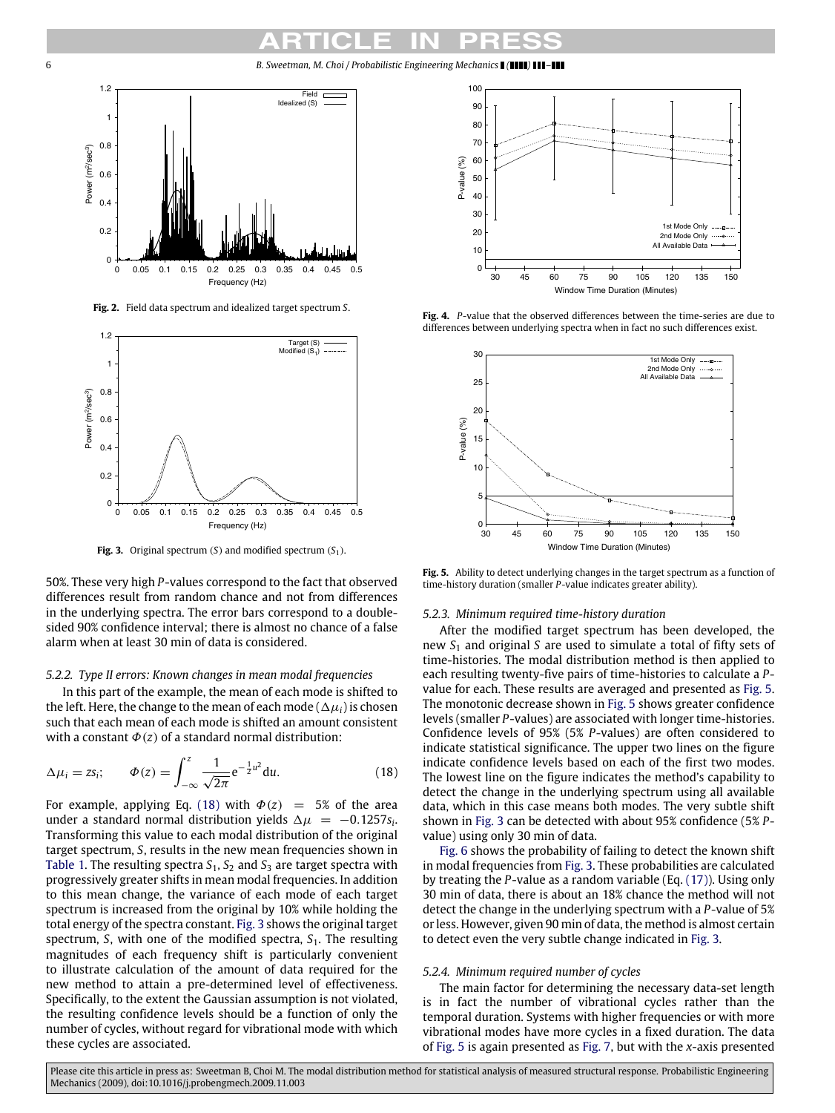<span id="page-5-0"></span>6 *B. Sweetman, M. Choi / Probabilistic Engineering Mechanics ( ) –*



**Fig. 2.** Field data spectrum and idealized target spectrum *S*.

<span id="page-5-3"></span>

**Fig. 3.** Original spectrum (*S*) and modified spectrum (*S*1).

50%. These very high *P*-values correspond to the fact that observed differences result from random chance and not from differences in the underlying spectra. The error bars correspond to a doublesided 90% confidence interval; there is almost no chance of a false alarm when at least 30 min of data is considered.

#### *5.2.2. Type II errors: Known changes in mean modal frequencies*

In this part of the example, the mean of each mode is shifted to the left. Here, the change to the mean of each mode ( $\Delta \mu_i$ ) is chosen such that each mean of each mode is shifted an amount consistent with a constant  $\Phi(z)$  of a standard normal distribution:

$$
\Delta \mu_i = z s_i; \qquad \Phi(z) = \int_{-\infty}^z \frac{1}{\sqrt{2\pi}} e^{-\frac{1}{2}u^2} du. \tag{18}
$$

For example, applying Eq. [\(18\)](#page-5-2) with  $\Phi(z)$  = 5% of the area under a standard normal distribution yields  $\Delta \mu = -0.1257 s_i$ . Transforming this value to each modal distribution of the original target spectrum, *S*, results in the new mean frequencies shown in [Table 1.](#page-6-0) The resulting spectra  $S_1$ ,  $S_2$  and  $S_3$  are target spectra with progressively greater shifts in mean modal frequencies. In addition to this mean change, the variance of each mode of each target spectrum is increased from the original by 10% while holding the total energy of the spectra constant. [Fig. 3](#page-5-3) shows the original target spectrum, *S*, with one of the modified spectra, *S*<sub>1</sub>. The resulting magnitudes of each frequency shift is particularly convenient to illustrate calculation of the amount of data required for the new method to attain a pre-determined level of effectiveness. Specifically, to the extent the Gaussian assumption is not violated, the resulting confidence levels should be a function of only the number of cycles, without regard for vibrational mode with which these cycles are associated.

<span id="page-5-1"></span>

**Fig. 4.** *P*-value that the observed differences between the time-series are due to differences between underlying spectra when in fact no such differences exist.

<span id="page-5-4"></span>

**Fig. 5.** Ability to detect underlying changes in the target spectrum as a function of time-history duration (smaller *P*-value indicates greater ability).

#### *5.2.3. Minimum required time-history duration*

After the modified target spectrum has been developed, the new *S*<sup>1</sup> and original *S* are used to simulate a total of fifty sets of time-histories. The modal distribution method is then applied to each resulting twenty-five pairs of time-histories to calculate a *P*value for each. These results are averaged and presented as [Fig. 5.](#page-5-4) The monotonic decrease shown in [Fig. 5](#page-5-4) shows greater confidence levels (smaller *P*-values) are associated with longer time-histories. Confidence levels of 95% (5% *P*-values) are often considered to indicate statistical significance. The upper two lines on the figure indicate confidence levels based on each of the first two modes. The lowest line on the figure indicates the method's capability to detect the change in the underlying spectrum using all available data, which in this case means both modes. The very subtle shift shown in [Fig. 3](#page-5-3) can be detected with about 95% confidence (5% *P*value) using only 30 min of data.

<span id="page-5-2"></span>[Fig. 6](#page-6-1) shows the probability of failing to detect the known shift in modal frequencies from [Fig. 3.](#page-5-3) These probabilities are calculated by treating the *P*-value as a random variable (Eq. [\(17\)\)](#page-4-0). Using only 30 min of data, there is about an 18% chance the method will not detect the change in the underlying spectrum with a *P*-value of 5% or less. However, given 90 min of data, the method is almost certain to detect even the very subtle change indicated in [Fig. 3.](#page-5-3)

#### *5.2.4. Minimum required number of cycles*

The main factor for determining the necessary data-set length is in fact the number of vibrational cycles rather than the temporal duration. Systems with higher frequencies or with more vibrational modes have more cycles in a fixed duration. The data of [Fig. 5](#page-5-4) is again presented as [Fig. 7,](#page-6-2) but with the *x*-axis presented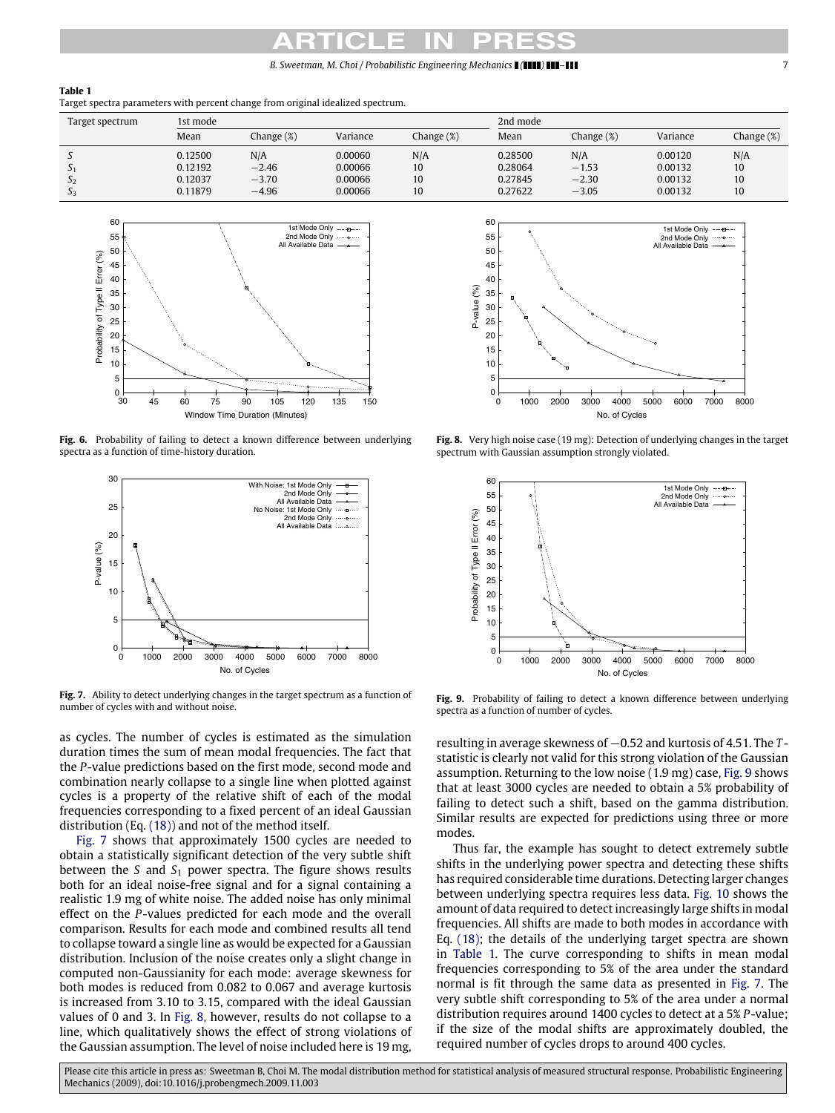*B. Sweetman, M. Choi / Probabilistic Engineering Mechanics ( ) –* 7

#### <span id="page-6-0"></span>**Table 1**

Target spectra parameters with percent change from original idealized spectrum.

| Target spectrum   | 1st mode |            |          |           | 2nd mode |            |          |            |  |
|-------------------|----------|------------|----------|-----------|----------|------------|----------|------------|--|
|                   | Mean     | Change (%) | Variance | Change(%) | Mean     | Change (%) | Variance | Change (%) |  |
|                   | 0.12500  | N/A        | 0.00060  | N/A       | 0.28500  | N/A        | 0.00120  | N/A        |  |
| $\mathcal{L}_{1}$ | 0.12192  | $-2.46$    | 0.00066  | 10        | 0.28064  | $-1.53$    | 0.00132  | 10         |  |
| رد                | 0.12037  | $-3.70$    | 0.00066  | 10        | 0.27845  | $-2.30$    | 0.00132  | 10         |  |
| 2 <sub>3</sub>    | 0.11879  | $-4.96$    | 0.00066  | 10        | 0.27622  | $-3.05$    | 0.00132  | 10         |  |

<span id="page-6-1"></span>

Fig. 6. Probability of failing to detect a known difference between underlying spectra as a function of time-history duration.

<span id="page-6-2"></span>

**Fig. 7.** Ability to detect underlying changes in the target spectrum as a function of number of cycles with and without noise.

as cycles. The number of cycles is estimated as the simulation duration times the sum of mean modal frequencies. The fact that the *P*-value predictions based on the first mode, second mode and combination nearly collapse to a single line when plotted against cycles is a property of the relative shift of each of the modal frequencies corresponding to a fixed percent of an ideal Gaussian distribution (Eq. [\(18\)\)](#page-5-2) and not of the method itself.

[Fig. 7](#page-6-2) shows that approximately 1500 cycles are needed to obtain a statistically significant detection of the very subtle shift between the *S* and  $S_1$  power spectra. The figure shows results both for an ideal noise-free signal and for a signal containing a realistic 1.9 mg of white noise. The added noise has only minimal effect on the *P*-values predicted for each mode and the overall comparison. Results for each mode and combined results all tend to collapse toward a single line as would be expected for a Gaussian distribution. Inclusion of the noise creates only a slight change in computed non-Gaussianity for each mode: average skewness for both modes is reduced from 0.082 to 0.067 and average kurtosis is increased from 3.10 to 3.15, compared with the ideal Gaussian values of 0 and 3. In [Fig. 8,](#page-6-3) however, results do not collapse to a line, which qualitatively shows the effect of strong violations of the Gaussian assumption. The level of noise included here is 19 mg,

<span id="page-6-3"></span>

**Fig. 8.** Very high noise case (19 mg): Detection of underlying changes in the target spectrum with Gaussian assumption strongly violated.

<span id="page-6-4"></span>

Fig. 9. Probability of failing to detect a known difference between underlying spectra as a function of number of cycles.

resulting in average skewness of −0.52 and kurtosis of 4.51. The *T* statistic is clearly not valid for this strong violation of the Gaussian assumption. Returning to the low noise (1.9 mg) case, [Fig. 9](#page-6-4) shows that at least 3000 cycles are needed to obtain a 5% probability of failing to detect such a shift, based on the gamma distribution. Similar results are expected for predictions using three or more modes.

Thus far, the example has sought to detect extremely subtle shifts in the underlying power spectra and detecting these shifts has required considerable time durations. Detecting larger changes between underlying spectra requires less data. [Fig. 10](#page-7-1) shows the amount of data required to detect increasingly large shifts in modal frequencies. All shifts are made to both modes in accordance with Eq. [\(18\);](#page-5-2) the details of the underlying target spectra are shown in [Table 1.](#page-6-0) The curve corresponding to shifts in mean modal frequencies corresponding to 5% of the area under the standard normal is fit through the same data as presented in [Fig. 7.](#page-6-2) The very subtle shift corresponding to 5% of the area under a normal distribution requires around 1400 cycles to detect at a 5% *P*-value; if the size of the modal shifts are approximately doubled, the required number of cycles drops to around 400 cycles.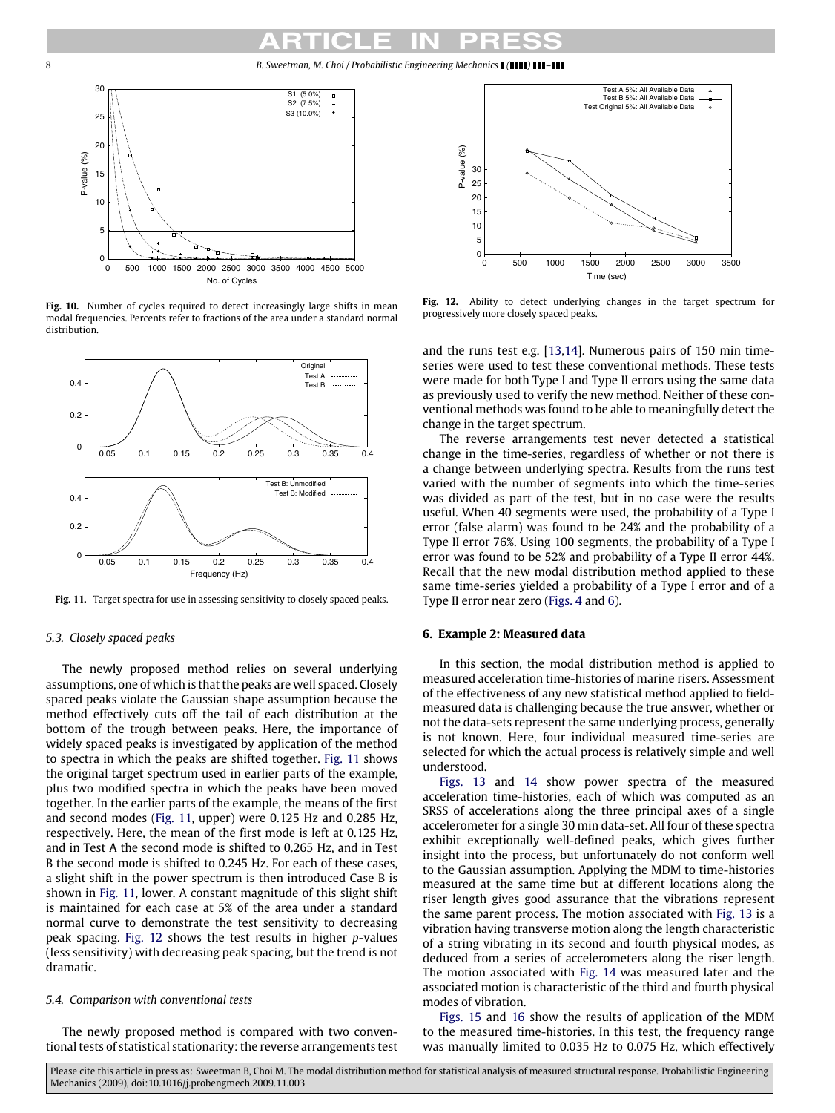8 *B. Sweetman, M. Choi / Probabilistic Engineering Mechanics ( ) –*

<span id="page-7-1"></span>

Fig. 10. Number of cycles required to detect increasingly large shifts in mean modal frequencies. Percents refer to fractions of the area under a standard normal distribution.

<span id="page-7-2"></span>

**Fig. 11.** Target spectra for use in assessing sensitivity to closely spaced peaks.

#### *5.3. Closely spaced peaks*

The newly proposed method relies on several underlying assumptions, one of which is that the peaks are well spaced. Closely spaced peaks violate the Gaussian shape assumption because the method effectively cuts off the tail of each distribution at the bottom of the trough between peaks. Here, the importance of widely spaced peaks is investigated by application of the method to spectra in which the peaks are shifted together. [Fig. 11](#page-7-2) shows the original target spectrum used in earlier parts of the example, plus two modified spectra in which the peaks have been moved together. In the earlier parts of the example, the means of the first and second modes [\(Fig. 11,](#page-7-2) upper) were 0.125 Hz and 0.285 Hz, respectively. Here, the mean of the first mode is left at 0.125 Hz, and in Test A the second mode is shifted to 0.265 Hz, and in Test B the second mode is shifted to 0.245 Hz. For each of these cases, a slight shift in the power spectrum is then introduced Case B is shown in [Fig. 11,](#page-7-2) lower. A constant magnitude of this slight shift is maintained for each case at 5% of the area under a standard normal curve to demonstrate the test sensitivity to decreasing peak spacing. [Fig. 12](#page-7-3) shows the test results in higher *p*-values (less sensitivity) with decreasing peak spacing, but the trend is not dramatic.

#### *5.4. Comparison with conventional tests*

The newly proposed method is compared with two conventional tests of statistical stationarity: the reverse arrangements test

<span id="page-7-3"></span>

**Fig. 12.** Ability to detect underlying changes in the target spectrum for progressively more closely spaced peaks.

and the runs test e.g. [\[13,](#page-9-12)[14\]](#page-9-13). Numerous pairs of 150 min timeseries were used to test these conventional methods. These tests were made for both Type I and Type II errors using the same data as previously used to verify the new method. Neither of these conventional methods was found to be able to meaningfully detect the change in the target spectrum.

The reverse arrangements test never detected a statistical change in the time-series, regardless of whether or not there is a change between underlying spectra. Results from the runs test varied with the number of segments into which the time-series was divided as part of the test, but in no case were the results useful. When 40 segments were used, the probability of a Type I error (false alarm) was found to be 24% and the probability of a Type II error 76%. Using 100 segments, the probability of a Type I error was found to be 52% and probability of a Type II error 44%. Recall that the new modal distribution method applied to these same time-series yielded a probability of a Type I error and of a Type II error near zero [\(Figs. 4](#page-5-1) and [6\)](#page-6-1).

#### <span id="page-7-0"></span>**6. Example 2: Measured data**

In this section, the modal distribution method is applied to measured acceleration time-histories of marine risers. Assessment of the effectiveness of any new statistical method applied to fieldmeasured data is challenging because the true answer, whether or not the data-sets represent the same underlying process, generally is not known. Here, four individual measured time-series are selected for which the actual process is relatively simple and well understood.

[Figs. 13](#page-8-0) and [14](#page-8-1) show power spectra of the measured acceleration time-histories, each of which was computed as an SRSS of accelerations along the three principal axes of a single accelerometer for a single 30 min data-set. All four of these spectra exhibit exceptionally well-defined peaks, which gives further insight into the process, but unfortunately do not conform well to the Gaussian assumption. Applying the MDM to time-histories measured at the same time but at different locations along the riser length gives good assurance that the vibrations represent the same parent process. The motion associated with [Fig. 13](#page-8-0) is a vibration having transverse motion along the length characteristic of a string vibrating in its second and fourth physical modes, as deduced from a series of accelerometers along the riser length. The motion associated with [Fig. 14](#page-8-1) was measured later and the associated motion is characteristic of the third and fourth physical modes of vibration.

[Figs. 15](#page-8-2) and [16](#page-8-3) show the results of application of the MDM to the measured time-histories. In this test, the frequency range was manually limited to 0.035 Hz to 0.075 Hz, which effectively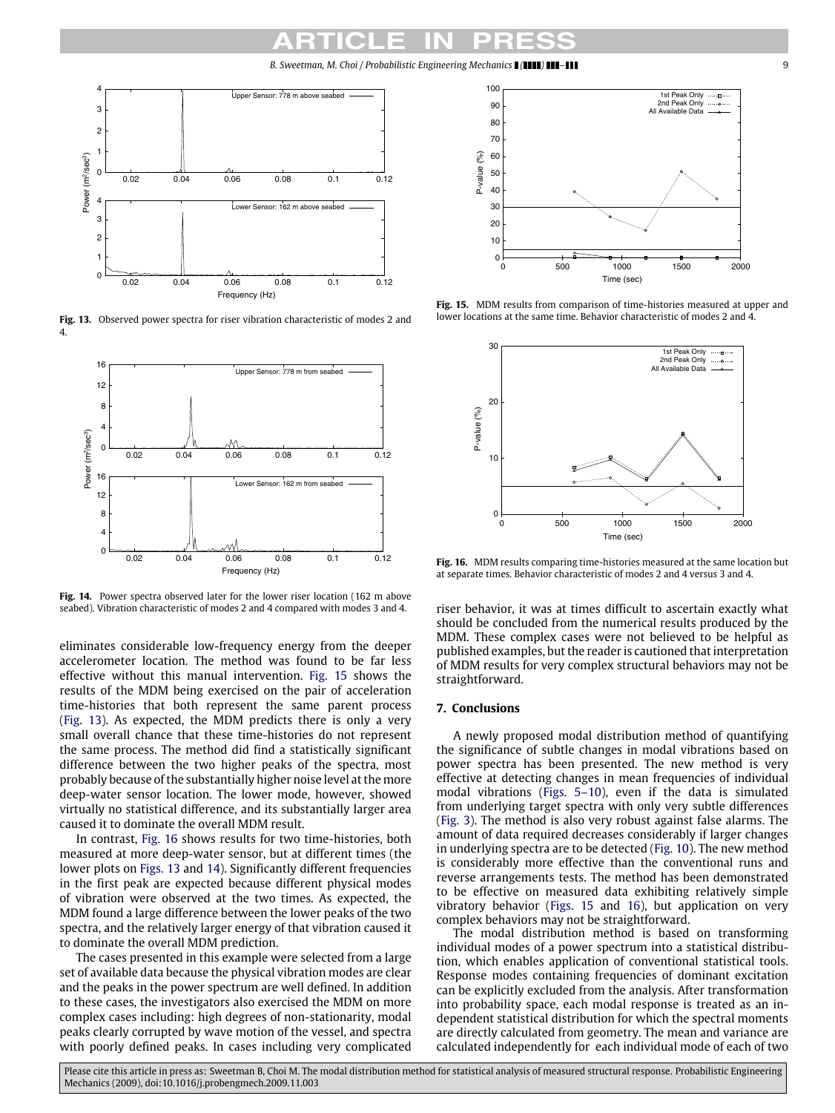*B. Sweetman, M. Choi / Probabilistic Engineering Mechanics ( ) –* 9

<span id="page-8-0"></span>

**Fig. 13.** Observed power spectra for riser vibration characteristic of modes 2 and 4.

<span id="page-8-1"></span>

Fig. 14. Power spectra observed later for the lower riser location (162 m above seabed). Vibration characteristic of modes 2 and 4 compared with modes 3 and 4.

eliminates considerable low-frequency energy from the deeper accelerometer location. The method was found to be far less effective without this manual intervention. [Fig. 15](#page-8-2) shows the results of the MDM being exercised on the pair of acceleration time-histories that both represent the same parent process [\(Fig. 13\)](#page-8-0). As expected, the MDM predicts there is only a very small overall chance that these time-histories do not represent the same process. The method did find a statistically significant difference between the two higher peaks of the spectra, most probably because of the substantially higher noise level at the more deep-water sensor location. The lower mode, however, showed virtually no statistical difference, and its substantially larger area caused it to dominate the overall MDM result.

In contrast, [Fig. 16](#page-8-3) shows results for two time-histories, both measured at more deep-water sensor, but at different times (the lower plots on [Figs. 13](#page-8-0) and [14\)](#page-8-1). Significantly different frequencies in the first peak are expected because different physical modes of vibration were observed at the two times. As expected, the MDM found a large difference between the lower peaks of the two spectra, and the relatively larger energy of that vibration caused it to dominate the overall MDM prediction.

The cases presented in this example were selected from a large set of available data because the physical vibration modes are clear and the peaks in the power spectrum are well defined. In addition to these cases, the investigators also exercised the MDM on more complex cases including: high degrees of non-stationarity, modal peaks clearly corrupted by wave motion of the vessel, and spectra with poorly defined peaks. In cases including very complicated

<span id="page-8-2"></span>

**Fig. 15.** MDM results from comparison of time-histories measured at upper and lower locations at the same time. Behavior characteristic of modes 2 and 4.

<span id="page-8-3"></span>

**Fig. 16.** MDM results comparing time-histories measured at the same location but at separate times. Behavior characteristic of modes 2 and 4 versus 3 and 4.

riser behavior, it was at times difficult to ascertain exactly what should be concluded from the numerical results produced by the MDM. These complex cases were not believed to be helpful as published examples, but the reader is cautioned that interpretation of MDM results for very complex structural behaviors may not be straightforward.

# **7. Conclusions**

A newly proposed modal distribution method of quantifying the significance of subtle changes in modal vibrations based on power spectra has been presented. The new method is very effective at detecting changes in mean frequencies of individual modal vibrations [\(Figs. 5–10\)](#page-5-4), even if the data is simulated from underlying target spectra with only very subtle differences [\(Fig. 3\)](#page-5-3). The method is also very robust against false alarms. The amount of data required decreases considerably if larger changes in underlying spectra are to be detected [\(Fig. 10\)](#page-7-1). The new method is considerably more effective than the conventional runs and reverse arrangements tests. The method has been demonstrated to be effective on measured data exhibiting relatively simple vibratory behavior [\(Figs. 15](#page-8-2) and [16\)](#page-8-3), but application on very complex behaviors may not be straightforward.

The modal distribution method is based on transforming individual modes of a power spectrum into a statistical distribution, which enables application of conventional statistical tools. Response modes containing frequencies of dominant excitation can be explicitly excluded from the analysis. After transformation into probability space, each modal response is treated as an independent statistical distribution for which the spectral moments are directly calculated from geometry. The mean and variance are calculated independently for each individual mode of each of two